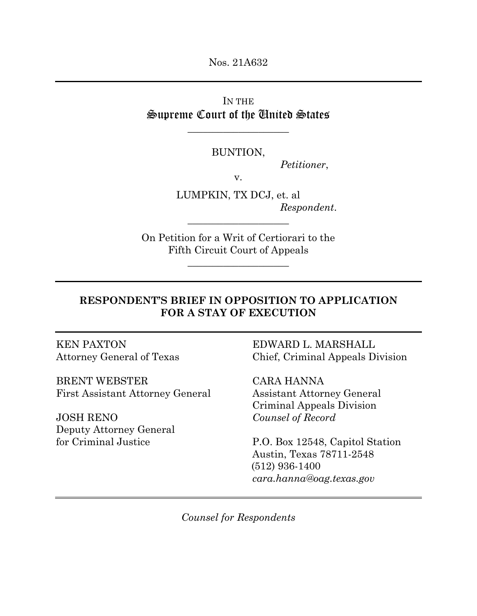Nos. 21A632

IN THE Supreme Court of the United States

\_\_\_\_\_\_\_\_\_\_\_\_\_\_\_\_\_\_\_\_

BUNTION,

*Petitioner*,

v.

LUMPKIN, TX DCJ, et. al *Respondent*.

On Petition for a Writ of Certiorari to the Fifth Circuit Court of Appeals

\_\_\_\_\_\_\_\_\_\_\_\_\_\_\_\_\_\_\_\_

\_\_\_\_\_\_\_\_\_\_\_\_\_\_\_\_\_\_\_\_

# **RESPONDENT'S BRIEF IN OPPOSITION TO APPLICATION FOR A STAY OF EXECUTION**

BRENT WEBSTER CARA HANNA First Assistant Attorney General Assistant Attorney General

JOSH RENO *Counsel of Record* Deputy Attorney General

KEN PAXTON EDWARD L. MARSHALL Attorney General of Texas Chief, Criminal Appeals Division

Criminal Appeals Division

for Criminal Justice P.O. Box 12548, Capitol Station Austin, Texas 78711-2548 (512) 936-1400 *cara.hanna@oag.texas.gov* 

*Counsel for Respondents*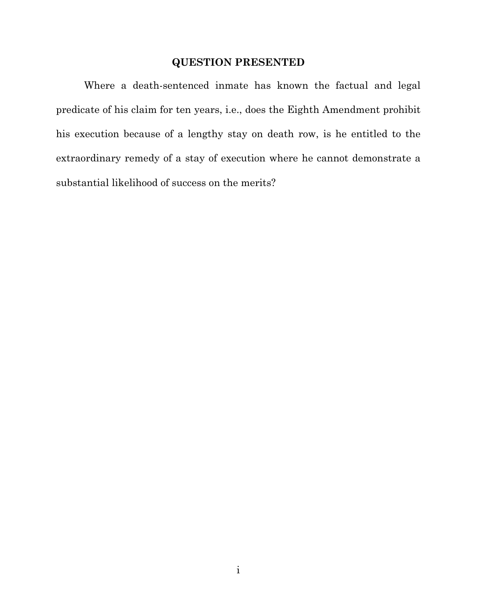### **QUESTION PRESENTED**

 Where a death-sentenced inmate has known the factual and legal predicate of his claim for ten years, i.e., does the Eighth Amendment prohibit his execution because of a lengthy stay on death row, is he entitled to the extraordinary remedy of a stay of execution where he cannot demonstrate a substantial likelihood of success on the merits?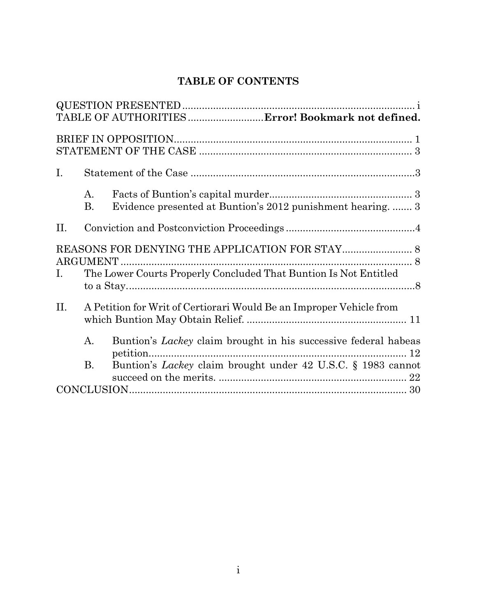# **TABLE OF CONTENTS**

|                                                                        |                                                                     | TABLE OF AUTHORITIES  Error! Bookmark not defined.                                 |  |  |
|------------------------------------------------------------------------|---------------------------------------------------------------------|------------------------------------------------------------------------------------|--|--|
|                                                                        |                                                                     |                                                                                    |  |  |
| Ι.                                                                     |                                                                     |                                                                                    |  |  |
|                                                                        | А.<br>В.                                                            | Evidence presented at Buntion's 2012 punishment hearing 3                          |  |  |
| II.                                                                    |                                                                     |                                                                                    |  |  |
| The Lower Courts Properly Concluded That Buntion Is Not Entitled<br>Ι. |                                                                     |                                                                                    |  |  |
| II.                                                                    | A Petition for Writ of Certiorari Would Be an Improper Vehicle from |                                                                                    |  |  |
|                                                                        | A.                                                                  | Buntion's <i>Lackey</i> claim brought in his successive federal habeas<br>petition |  |  |
|                                                                        | В.                                                                  | Buntion's <i>Lackey</i> claim brought under 42 U.S.C. § 1983 cannot                |  |  |
|                                                                        |                                                                     |                                                                                    |  |  |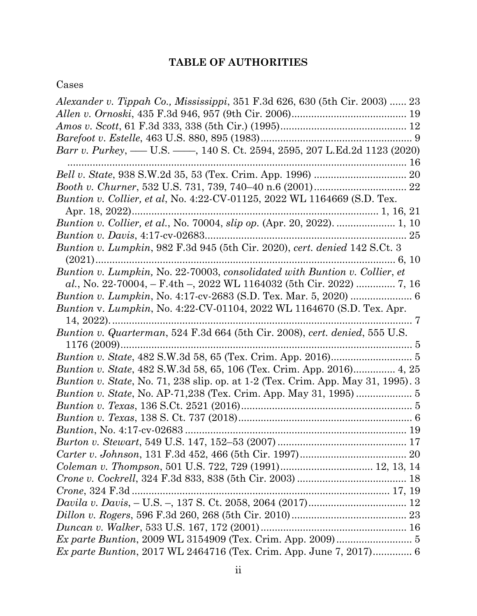# **TABLE OF AUTHORITIES**

# Cases

| Alexander v. Tippah Co., Mississippi, 351 F.3d 626, 630 (5th Cir. 2003)  23             |
|-----------------------------------------------------------------------------------------|
|                                                                                         |
|                                                                                         |
|                                                                                         |
| Barr v. Purkey, — U.S. — , 140 S. Ct. 2594, 2595, 207 L.Ed.2d 1123 (2020)               |
|                                                                                         |
|                                                                                         |
| <i>Buntion v. Collier, et al, No. 4:22-CV-01125, 2022 WL 1164669 (S.D. Tex.</i>         |
|                                                                                         |
| Buntion v. Collier, et al., No. 70004, slip op. (Apr. 20, 2022).  1, 10                 |
|                                                                                         |
| <i>Buntion v. Lumpkin, 982 F.3d 945 (5th Cir. 2020), cert. denied 142 S.Ct. 3</i>       |
| $(2021)$                                                                                |
| Buntion v. Lumpkin, No. 22-70003, consolidated with Buntion v. Collier, et              |
|                                                                                         |
|                                                                                         |
| <i>Buntion v. Lumpkin, No. 4:22-CV-01104, 2022 WL 1164670 (S.D. Tex. Apr.</i>           |
| $14, 2022)$                                                                             |
| Buntion v. Quarterman, 524 F.3d 664 (5th Cir. 2008), cert. denied, 555 U.S.             |
|                                                                                         |
|                                                                                         |
| Buntion v. State, 482 S.W.3d 58, 65, 106 (Tex. Crim. App. 2016) 4, 25                   |
| <i>Buntion v. State, No.</i> 71, 238 slip. op. at 1-2 (Tex. Crim. App. May 31, 1995). 3 |
| <i>Buntion v. State, No. AP-71,238 (Tex. Crim. App. May 31, 1995) </i> 5                |
|                                                                                         |
|                                                                                         |
|                                                                                         |
|                                                                                         |
|                                                                                         |
|                                                                                         |
|                                                                                         |
|                                                                                         |
|                                                                                         |
|                                                                                         |
|                                                                                         |
| Ex parte Buntion, 2009 WL 3154909 (Tex. Crim. App. 2009)  5                             |
| <i>Ex parte Buntion, 2017 WL 2464716 (Tex. Crim. App. June 7, 2017)</i> 6               |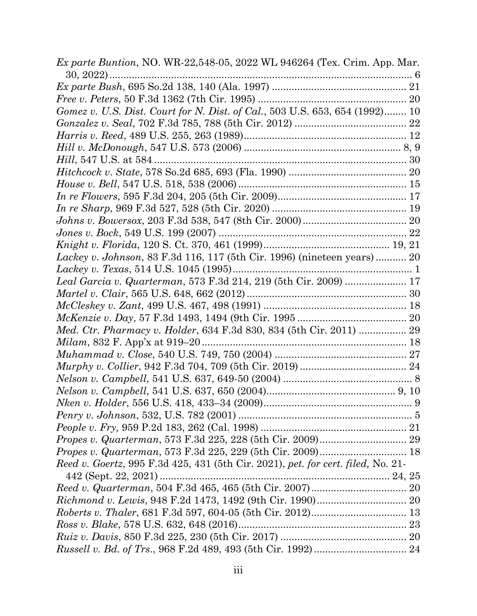| <i>Ex parte Buntion</i> , NO. WR-22,548-05, 2022 WL 946264 (Tex. Crim. App. Mar.                         |  |
|----------------------------------------------------------------------------------------------------------|--|
|                                                                                                          |  |
|                                                                                                          |  |
| Gomez v. U.S. Dist. Court for N. Dist. of Cal., 503 U.S. 653, 654 (1992) 10                              |  |
|                                                                                                          |  |
|                                                                                                          |  |
|                                                                                                          |  |
|                                                                                                          |  |
|                                                                                                          |  |
|                                                                                                          |  |
|                                                                                                          |  |
|                                                                                                          |  |
|                                                                                                          |  |
|                                                                                                          |  |
|                                                                                                          |  |
| Lackey v. Johnson, 83 F.3d 116, 117 (5th Cir. 1996) (nineteen years) 20                                  |  |
|                                                                                                          |  |
| Leal Garcia v. Quarterman, 573 F.3d 214, 219 (5th Cir. 2009)  17                                         |  |
|                                                                                                          |  |
|                                                                                                          |  |
|                                                                                                          |  |
| Med. Ctr. Pharmacy v. Holder, 634 F.3d 830, 834 (5th Cir. 2011)  29                                      |  |
|                                                                                                          |  |
|                                                                                                          |  |
|                                                                                                          |  |
|                                                                                                          |  |
|                                                                                                          |  |
|                                                                                                          |  |
|                                                                                                          |  |
|                                                                                                          |  |
|                                                                                                          |  |
|                                                                                                          |  |
| Reed v. Goertz, 995 F.3d 425, 431 (5th Cir. 2021), pet. for cert. filed, No. 21-<br>442 (Sept. 22, 2021) |  |
|                                                                                                          |  |
|                                                                                                          |  |
|                                                                                                          |  |
|                                                                                                          |  |
|                                                                                                          |  |
|                                                                                                          |  |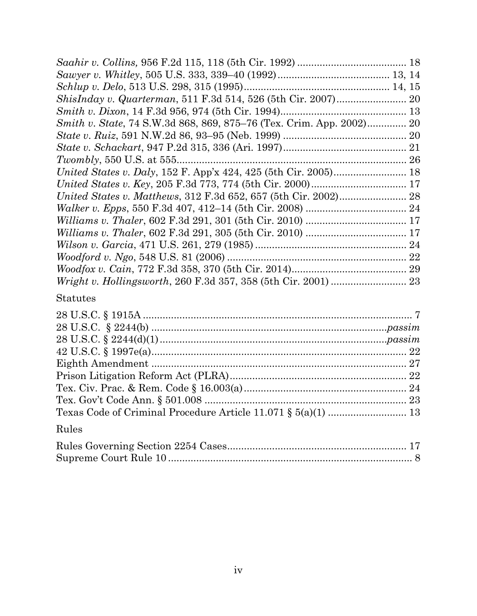| Smith v. State, 74 S.W.3d 868, 869, 875–76 (Tex. Crim. App. 2002) 20 |  |
|----------------------------------------------------------------------|--|
|                                                                      |  |
|                                                                      |  |
|                                                                      |  |
|                                                                      |  |
|                                                                      |  |
|                                                                      |  |
|                                                                      |  |
|                                                                      |  |
|                                                                      |  |
|                                                                      |  |
|                                                                      |  |
|                                                                      |  |
|                                                                      |  |

# Statutes

| Rules |  |
|-------|--|
|       |  |
|       |  |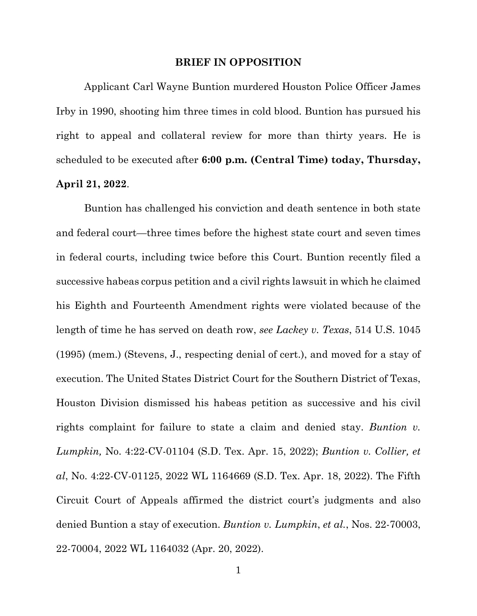#### **BRIEF IN OPPOSITION**

Applicant Carl Wayne Buntion murdered Houston Police Officer James Irby in 1990, shooting him three times in cold blood. Buntion has pursued his right to appeal and collateral review for more than thirty years. He is scheduled to be executed after **6:00 p.m. (Central Time) today, Thursday, April 21, 2022**.

Buntion has challenged his conviction and death sentence in both state and federal court—three times before the highest state court and seven times in federal courts, including twice before this Court. Buntion recently filed a successive habeas corpus petition and a civil rights lawsuit in which he claimed his Eighth and Fourteenth Amendment rights were violated because of the length of time he has served on death row, *see Lackey v. Texas*, 514 U.S. 1045 (1995) (mem.) (Stevens, J., respecting denial of cert.), and moved for a stay of execution. The United States District Court for the Southern District of Texas, Houston Division dismissed his habeas petition as successive and his civil rights complaint for failure to state a claim and denied stay. *Buntion v. Lumpkin,* No. 4:22-CV-01104 (S.D. Tex. Apr. 15, 2022); *Buntion v. Collier, et al*, No. 4:22-CV-01125, 2022 WL 1164669 (S.D. Tex. Apr. 18, 2022). The Fifth Circuit Court of Appeals affirmed the district court's judgments and also denied Buntion a stay of execution. *Buntion v. Lumpkin*, *et al.*, Nos. 22-70003, 22-70004, 2022 WL 1164032 (Apr. 20, 2022).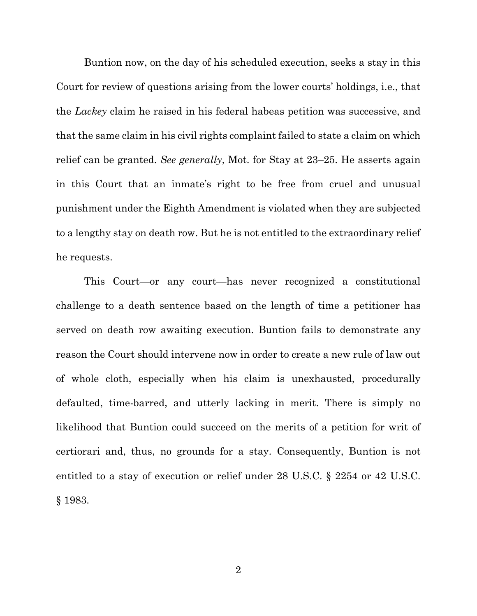Buntion now, on the day of his scheduled execution, seeks a stay in this Court for review of questions arising from the lower courts' holdings, i.e., that the *Lackey* claim he raised in his federal habeas petition was successive, and that the same claim in his civil rights complaint failed to state a claim on which relief can be granted. *See generally*, Mot. for Stay at 23–25. He asserts again in this Court that an inmate's right to be free from cruel and unusual punishment under the Eighth Amendment is violated when they are subjected to a lengthy stay on death row. But he is not entitled to the extraordinary relief he requests.

This Court—or any court—has never recognized a constitutional challenge to a death sentence based on the length of time a petitioner has served on death row awaiting execution. Buntion fails to demonstrate any reason the Court should intervene now in order to create a new rule of law out of whole cloth, especially when his claim is unexhausted, procedurally defaulted, time-barred, and utterly lacking in merit. There is simply no likelihood that Buntion could succeed on the merits of a petition for writ of certiorari and, thus, no grounds for a stay. Consequently, Buntion is not entitled to a stay of execution or relief under 28 U.S.C. § 2254 or 42 U.S.C. § 1983.

2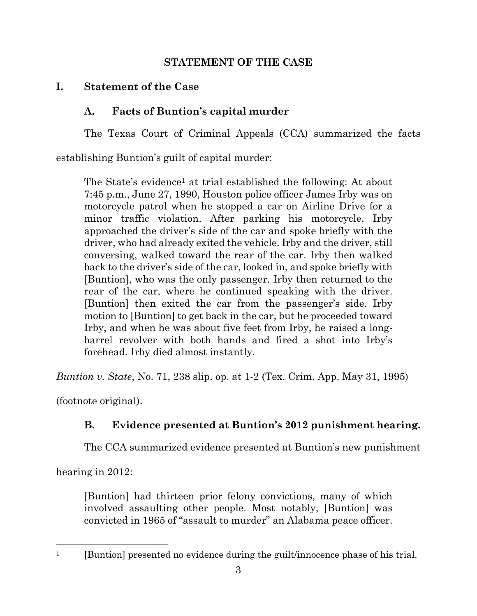## **STATEMENT OF THE CASE**

# **I. Statement of the Case**

# **A. Facts of Buntion's capital murder**

The Texas Court of Criminal Appeals (CCA) summarized the facts

establishing Buntion's guilt of capital murder:

The State's evidence<sup>1</sup> at trial established the following: At about 7:45 p.m., June 27, 1990, Houston police officer James Irby was on motorcycle patrol when he stopped a car on Airline Drive for a minor traffic violation. After parking his motorcycle, Irby approached the driver's side of the car and spoke briefly with the driver, who had already exited the vehicle. Irby and the driver, still conversing, walked toward the rear of the car. Irby then walked back to the driver's side of the car, looked in, and spoke briefly with [Buntion], who was the only passenger. Irby then returned to the rear of the car, where he continued speaking with the driver. [Buntion] then exited the car from the passenger's side. Irby motion to [Buntion] to get back in the car, but he proceeded toward Irby, and when he was about five feet from Irby, he raised a longbarrel revolver with both hands and fired a shot into Irby's forehead. Irby died almost instantly.

*Buntion v. State*, No. 71, 238 slip. op. at 1-2 (Tex. Crim. App. May 31, 1995)

(footnote original).

# **B. Evidence presented at Buntion's 2012 punishment hearing.**

The CCA summarized evidence presented at Buntion's new punishment

hearing in 2012:

[Buntion] had thirteen prior felony convictions, many of which involved assaulting other people. Most notably, [Buntion] was convicted in 1965 of "assault to murder" an Alabama peace officer.

<sup>&</sup>lt;sup>1</sup> [Buntion] presented no evidence during the guilt/innocence phase of his trial.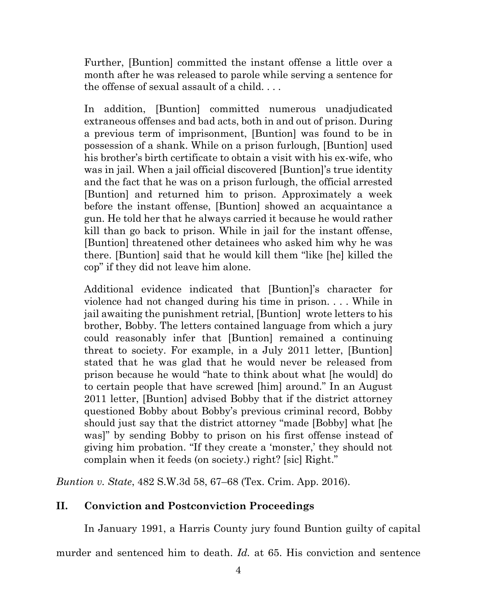Further, [Buntion] committed the instant offense a little over a month after he was released to parole while serving a sentence for the offense of sexual assault of a child. . . .

In addition, [Buntion] committed numerous unadjudicated extraneous offenses and bad acts, both in and out of prison. During a previous term of imprisonment, [Buntion] was found to be in possession of a shank. While on a prison furlough, [Buntion] used his brother's birth certificate to obtain a visit with his ex-wife, who was in jail. When a jail official discovered [Buntion]'s true identity and the fact that he was on a prison furlough, the official arrested [Buntion] and returned him to prison. Approximately a week before the instant offense, [Buntion] showed an acquaintance a gun. He told her that he always carried it because he would rather kill than go back to prison. While in jail for the instant offense, [Buntion] threatened other detainees who asked him why he was there. [Buntion] said that he would kill them "like [he] killed the cop" if they did not leave him alone.

Additional evidence indicated that [Buntion]'s character for violence had not changed during his time in prison. . . . While in jail awaiting the punishment retrial, [Buntion] wrote letters to his brother, Bobby. The letters contained language from which a jury could reasonably infer that [Buntion] remained a continuing threat to society. For example, in a July 2011 letter, [Buntion] stated that he was glad that he would never be released from prison because he would "hate to think about what [he would] do to certain people that have screwed [him] around." In an August 2011 letter, [Buntion] advised Bobby that if the district attorney questioned Bobby about Bobby's previous criminal record, Bobby should just say that the district attorney "made [Bobby] what [he was]" by sending Bobby to prison on his first offense instead of giving him probation. "If they create a 'monster,' they should not complain when it feeds (on society.) right? [sic] Right."

*Buntion v. State*, 482 S.W.3d 58, 67–68 (Tex. Crim. App. 2016).

# **II. Conviction and Postconviction Proceedings**

In January 1991, a Harris County jury found Buntion guilty of capital

murder and sentenced him to death. *Id.* at 65. His conviction and sentence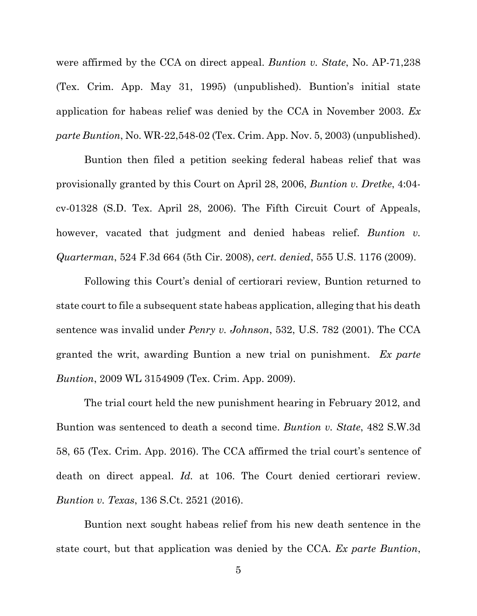were affirmed by the CCA on direct appeal. *Buntion v. State*, No. AP-71,238 (Tex. Crim. App. May 31, 1995) (unpublished). Buntion's initial state application for habeas relief was denied by the CCA in November 2003. *Ex parte Buntion*, No. WR-22,548-02 (Tex. Crim. App. Nov. 5, 2003) (unpublished).

Buntion then filed a petition seeking federal habeas relief that was provisionally granted by this Court on April 28, 2006, *Buntion v. Dretke*, 4:04 cv-01328 (S.D. Tex. April 28, 2006). The Fifth Circuit Court of Appeals, however, vacated that judgment and denied habeas relief. *Buntion v. Quarterman*, 524 F.3d 664 (5th Cir. 2008), *cert. denied*, 555 U.S. 1176 (2009).

Following this Court's denial of certiorari review, Buntion returned to state court to file a subsequent state habeas application, alleging that his death sentence was invalid under *Penry v. Johnson*, 532, U.S. 782 (2001). The CCA granted the writ, awarding Buntion a new trial on punishment. *Ex parte Buntion*, 2009 WL 3154909 (Tex. Crim. App. 2009).

 The trial court held the new punishment hearing in February 2012, and Buntion was sentenced to death a second time. *Buntion v. State*, 482 S.W.3d 58, 65 (Tex. Crim. App. 2016). The CCA affirmed the trial court's sentence of death on direct appeal. *Id.* at 106. The Court denied certiorari review. *Buntion v. Texas*, 136 S.Ct. 2521 (2016).

 Buntion next sought habeas relief from his new death sentence in the state court, but that application was denied by the CCA. *Ex parte Buntion*,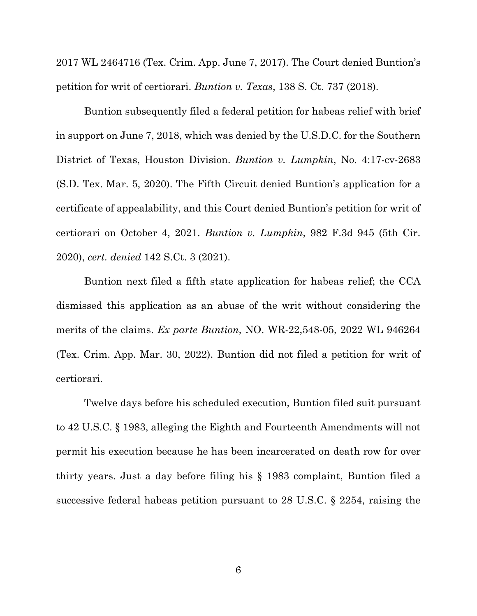2017 WL 2464716 (Tex. Crim. App. June 7, 2017). The Court denied Buntion's petition for writ of certiorari. *Buntion v. Texas*, 138 S. Ct. 737 (2018).

 Buntion subsequently filed a federal petition for habeas relief with brief in support on June 7, 2018, which was denied by the U.S.D.C. for the Southern District of Texas, Houston Division. *Buntion v. Lumpkin*, No. 4:17-cv-2683 (S.D. Tex. Mar. 5, 2020). The Fifth Circuit denied Buntion's application for a certificate of appealability, and this Court denied Buntion's petition for writ of certiorari on October 4, 2021. *Buntion v. Lumpkin*, 982 F.3d 945 (5th Cir. 2020), *cert. denied* 142 S.Ct. 3 (2021).

 Buntion next filed a fifth state application for habeas relief; the CCA dismissed this application as an abuse of the writ without considering the merits of the claims. *Ex parte Buntion*, NO. WR-22,548-05, 2022 WL 946264 (Tex. Crim. App. Mar. 30, 2022). Buntion did not filed a petition for writ of certiorari.

 Twelve days before his scheduled execution, Buntion filed suit pursuant to 42 U.S.C. § 1983, alleging the Eighth and Fourteenth Amendments will not permit his execution because he has been incarcerated on death row for over thirty years. Just a day before filing his § 1983 complaint, Buntion filed a successive federal habeas petition pursuant to 28 U.S.C. § 2254, raising the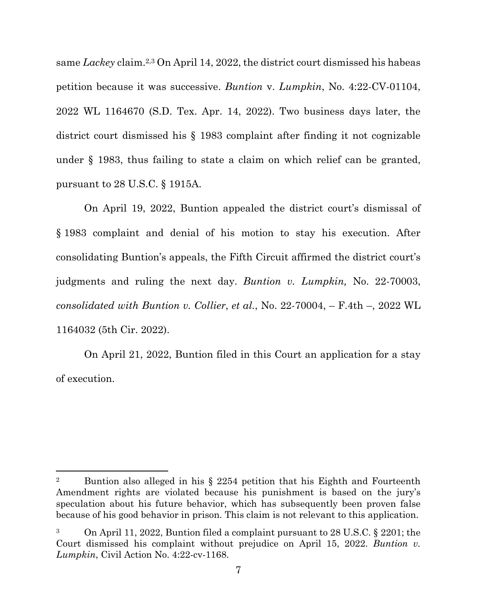same *Lackey* claim.2,3 On April 14, 2022, the district court dismissed his habeas petition because it was successive. *Buntion* v. *Lumpkin*, No. 4:22-CV-01104, 2022 WL 1164670 (S.D. Tex. Apr. 14, 2022). Two business days later, the district court dismissed his § 1983 complaint after finding it not cognizable under § 1983, thus failing to state a claim on which relief can be granted, pursuant to 28 U.S.C. § 1915A.

 On April 19, 2022, Buntion appealed the district court's dismissal of § 1983 complaint and denial of his motion to stay his execution. After consolidating Buntion's appeals, the Fifth Circuit affirmed the district court's judgments and ruling the next day. *Buntion v. Lumpkin,* No. 22-70003, *consolidated with Buntion v. Collier*, *et al.*, No. 22-70004, – F.4th –, 2022 WL 1164032 (5th Cir. 2022).

 On April 21, 2022, Buntion filed in this Court an application for a stay of execution.

<sup>&</sup>lt;sup>2</sup> Buntion also alleged in his § 2254 petition that his Eighth and Fourteenth Amendment rights are violated because his punishment is based on the jury's speculation about his future behavior, which has subsequently been proven false because of his good behavior in prison. This claim is not relevant to this application.

<sup>3</sup> On April 11, 2022, Buntion filed a complaint pursuant to 28 U.S.C. § 2201; the Court dismissed his complaint without prejudice on April 15, 2022. *Buntion v. Lumpkin*, Civil Action No. 4:22-cv-1168.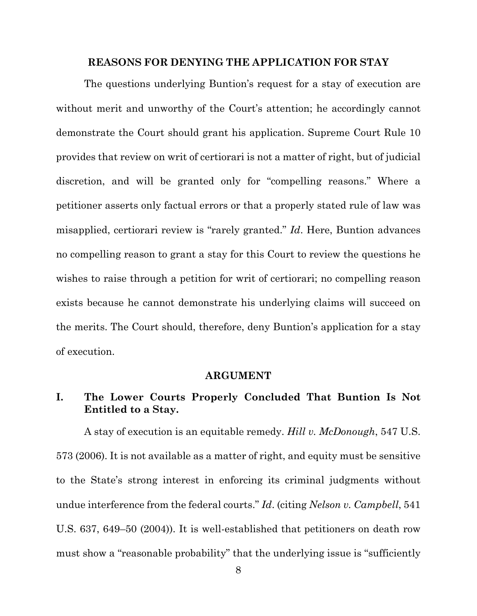### **REASONS FOR DENYING THE APPLICATION FOR STAY**

The questions underlying Buntion's request for a stay of execution are without merit and unworthy of the Court's attention; he accordingly cannot demonstrate the Court should grant his application. Supreme Court Rule 10 provides that review on writ of certiorari is not a matter of right, but of judicial discretion, and will be granted only for "compelling reasons." Where a petitioner asserts only factual errors or that a properly stated rule of law was misapplied, certiorari review is "rarely granted." *Id*. Here, Buntion advances no compelling reason to grant a stay for this Court to review the questions he wishes to raise through a petition for writ of certiorari; no compelling reason exists because he cannot demonstrate his underlying claims will succeed on the merits. The Court should, therefore, deny Buntion's application for a stay of execution.

#### **ARGUMENT**

## **I. The Lower Courts Properly Concluded That Buntion Is Not Entitled to a Stay.**

A stay of execution is an equitable remedy. *Hill v. McDonough*, 547 U.S. 573 (2006). It is not available as a matter of right, and equity must be sensitive to the State's strong interest in enforcing its criminal judgments without undue interference from the federal courts." *Id*. (citing *Nelson v. Campbell*, 541 U.S. 637, 649–50 (2004)). It is well-established that petitioners on death row must show a "reasonable probability" that the underlying issue is "sufficiently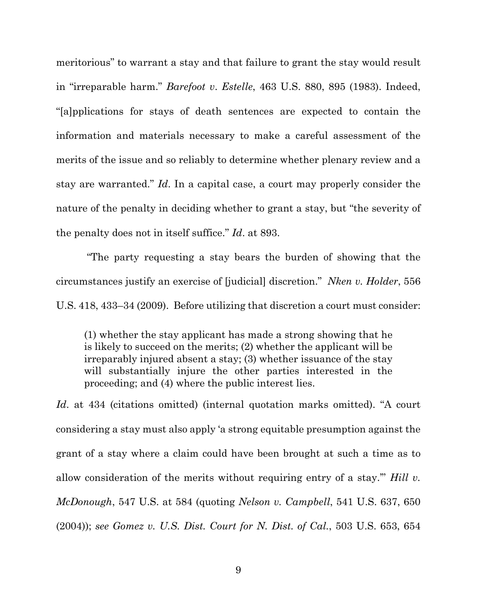meritorious" to warrant a stay and that failure to grant the stay would result in "irreparable harm." *Barefoot v*. *Estelle*, 463 U.S. 880, 895 (1983). Indeed, "[a]pplications for stays of death sentences are expected to contain the information and materials necessary to make a careful assessment of the merits of the issue and so reliably to determine whether plenary review and a stay are warranted." *Id*. In a capital case, a court may properly consider the nature of the penalty in deciding whether to grant a stay, but "the severity of the penalty does not in itself suffice." *Id*. at 893.

 "The party requesting a stay bears the burden of showing that the circumstances justify an exercise of [judicial] discretion." *Nken v. Holder*, 556 U.S. 418, 433–34 (2009). Before utilizing that discretion a court must consider:

(1) whether the stay applicant has made a strong showing that he is likely to succeed on the merits; (2) whether the applicant will be irreparably injured absent a stay; (3) whether issuance of the stay will substantially injure the other parties interested in the proceeding; and (4) where the public interest lies.

*Id*. at 434 (citations omitted) (internal quotation marks omitted). "A court considering a stay must also apply 'a strong equitable presumption against the grant of a stay where a claim could have been brought at such a time as to allow consideration of the merits without requiring entry of a stay.'" *Hill v. McDonough*, 547 U.S. at 584 (quoting *Nelson v. Campbell*, 541 U.S. 637, 650 (2004)); *see Gomez v. U.S. Dist. Court for N. Dist. of Cal.*, 503 U.S. 653, 654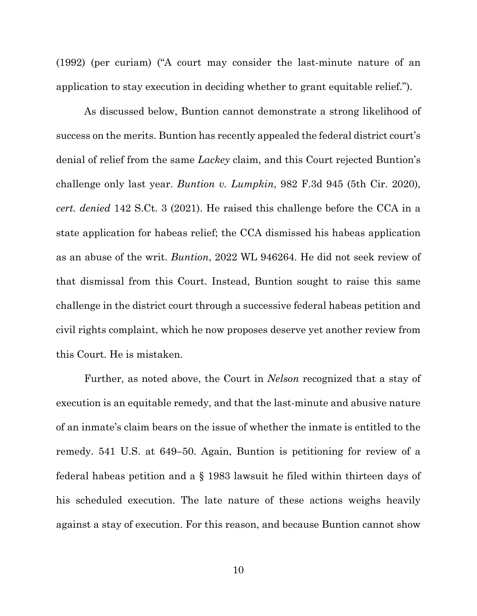(1992) (per curiam) ("A court may consider the last-minute nature of an application to stay execution in deciding whether to grant equitable relief.").

 As discussed below, Buntion cannot demonstrate a strong likelihood of success on the merits. Buntion has recently appealed the federal district court's denial of relief from the same *Lackey* claim, and this Court rejected Buntion's challenge only last year. *Buntion v. Lumpkin*, 982 F.3d 945 (5th Cir. 2020), *cert. denied* 142 S.Ct. 3 (2021). He raised this challenge before the CCA in a state application for habeas relief; the CCA dismissed his habeas application as an abuse of the writ. *Buntion*, 2022 WL 946264. He did not seek review of that dismissal from this Court. Instead, Buntion sought to raise this same challenge in the district court through a successive federal habeas petition and civil rights complaint, which he now proposes deserve yet another review from this Court. He is mistaken.

 Further, as noted above, the Court in *Nelson* recognized that a stay of execution is an equitable remedy, and that the last-minute and abusive nature of an inmate's claim bears on the issue of whether the inmate is entitled to the remedy. 541 U.S. at 649–50. Again, Buntion is petitioning for review of a federal habeas petition and a § 1983 lawsuit he filed within thirteen days of his scheduled execution. The late nature of these actions weighs heavily against a stay of execution. For this reason, and because Buntion cannot show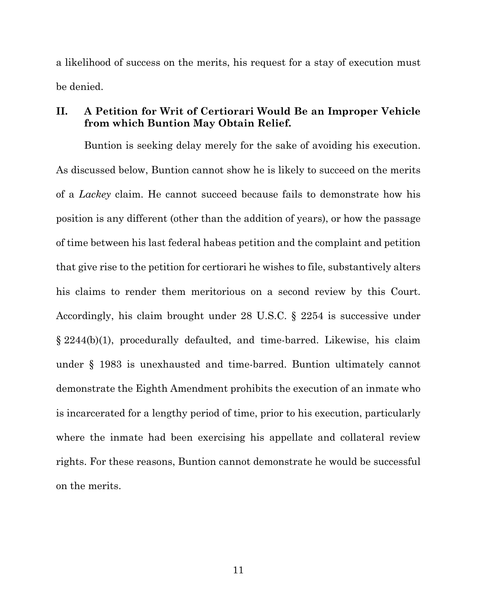a likelihood of success on the merits, his request for a stay of execution must be denied.

### **II. A Petition for Writ of Certiorari Would Be an Improper Vehicle from which Buntion May Obtain Relief.**

Buntion is seeking delay merely for the sake of avoiding his execution. As discussed below, Buntion cannot show he is likely to succeed on the merits of a *Lackey* claim. He cannot succeed because fails to demonstrate how his position is any different (other than the addition of years), or how the passage of time between his last federal habeas petition and the complaint and petition that give rise to the petition for certiorari he wishes to file, substantively alters his claims to render them meritorious on a second review by this Court. Accordingly, his claim brought under 28 U.S.C. § 2254 is successive under § 2244(b)(1), procedurally defaulted, and time-barred. Likewise, his claim under § 1983 is unexhausted and time-barred. Buntion ultimately cannot demonstrate the Eighth Amendment prohibits the execution of an inmate who is incarcerated for a lengthy period of time, prior to his execution, particularly where the inmate had been exercising his appellate and collateral review rights. For these reasons, Buntion cannot demonstrate he would be successful on the merits.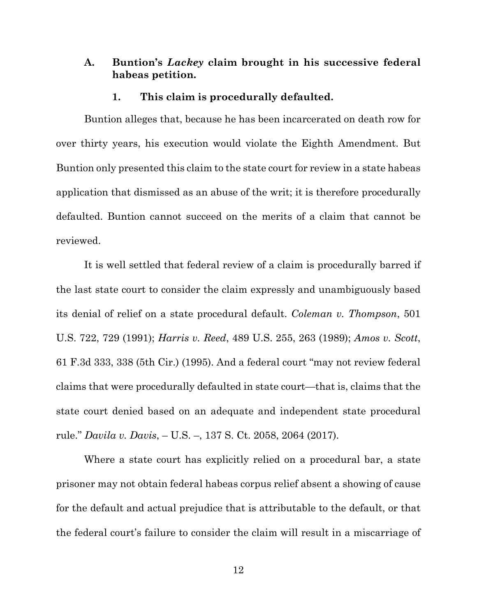### **A. Buntion's** *Lackey* **claim brought in his successive federal habeas petition.**

#### **1. This claim is procedurally defaulted.**

 Buntion alleges that, because he has been incarcerated on death row for over thirty years, his execution would violate the Eighth Amendment. But Buntion only presented this claim to the state court for review in a state habeas application that dismissed as an abuse of the writ; it is therefore procedurally defaulted. Buntion cannot succeed on the merits of a claim that cannot be reviewed.

 It is well settled that federal review of a claim is procedurally barred if the last state court to consider the claim expressly and unambiguously based its denial of relief on a state procedural default. *Coleman v. Thompson*, 501 U.S. 722, 729 (1991); *Harris v. Reed*, 489 U.S. 255, 263 (1989); *Amos v. Scott*, 61 F.3d 333, 338 (5th Cir.) (1995). And a federal court "may not review federal claims that were procedurally defaulted in state court—that is, claims that the state court denied based on an adequate and independent state procedural rule." *Davila v. Davis*, – U.S. –, 137 S. Ct. 2058, 2064 (2017).

 Where a state court has explicitly relied on a procedural bar, a state prisoner may not obtain federal habeas corpus relief absent a showing of cause for the default and actual prejudice that is attributable to the default, or that the federal court's failure to consider the claim will result in a miscarriage of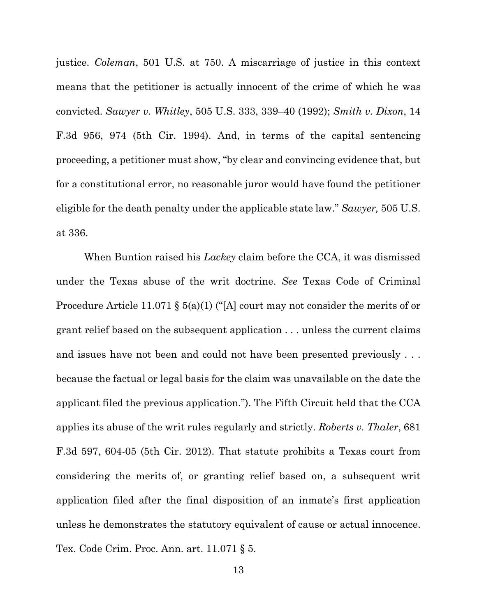justice. *Coleman*, 501 U.S. at 750. A miscarriage of justice in this context means that the petitioner is actually innocent of the crime of which he was convicted. *Sawyer v. Whitley*, 505 U.S. 333, 339–40 (1992); *Smith v. Dixon*, 14 F.3d 956, 974 (5th Cir. 1994). And, in terms of the capital sentencing proceeding, a petitioner must show, "by clear and convincing evidence that, but for a constitutional error, no reasonable juror would have found the petitioner eligible for the death penalty under the applicable state law." *Sawyer,* 505 U.S. at 336.

 When Buntion raised his *Lackey* claim before the CCA, it was dismissed under the Texas abuse of the writ doctrine. *See* Texas Code of Criminal Procedure Article 11.071 § 5(a)(1) ("[A] court may not consider the merits of or grant relief based on the subsequent application . . . unless the current claims and issues have not been and could not have been presented previously . . . because the factual or legal basis for the claim was unavailable on the date the applicant filed the previous application."). The Fifth Circuit held that the CCA applies its abuse of the writ rules regularly and strictly. *Roberts v. Thaler*, 681 F.3d 597, 604-05 (5th Cir. 2012). That statute prohibits a Texas court from considering the merits of, or granting relief based on, a subsequent writ application filed after the final disposition of an inmate's first application unless he demonstrates the statutory equivalent of cause or actual innocence. Tex. Code Crim. Proc. Ann. art. 11.071 § 5.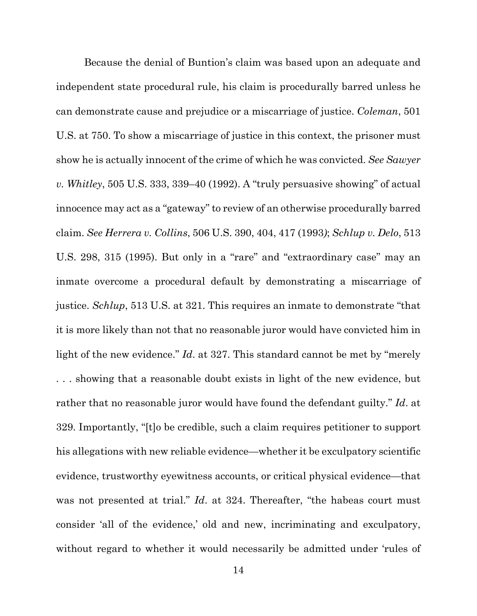Because the denial of Buntion's claim was based upon an adequate and independent state procedural rule, his claim is procedurally barred unless he can demonstrate cause and prejudice or a miscarriage of justice. *Coleman*, 501 U.S. at 750. To show a miscarriage of justice in this context, the prisoner must show he is actually innocent of the crime of which he was convicted. *See Sawyer v. Whitley*, 505 U.S. 333, 339–40 (1992). A "truly persuasive showing" of actual innocence may act as a "gateway" to review of an otherwise procedurally barred claim. *See Herrera v. Collins*, 506 U.S. 390, 404, 417 (1993*)*; *Schlup v. Delo*, 513 U.S. 298, 315 (1995). But only in a "rare" and "extraordinary case" may an inmate overcome a procedural default by demonstrating a miscarriage of justice. *Schlup*, 513 U.S. at 321. This requires an inmate to demonstrate "that it is more likely than not that no reasonable juror would have convicted him in light of the new evidence." *Id*. at 327. This standard cannot be met by "merely . . . showing that a reasonable doubt exists in light of the new evidence, but rather that no reasonable juror would have found the defendant guilty." *Id*. at 329. Importantly, "[t]o be credible, such a claim requires petitioner to support his allegations with new reliable evidence—whether it be exculpatory scientific evidence, trustworthy eyewitness accounts, or critical physical evidence—that was not presented at trial." *Id.* at 324. Thereafter, "the habeas court must consider 'all of the evidence,' old and new, incriminating and exculpatory, without regard to whether it would necessarily be admitted under 'rules of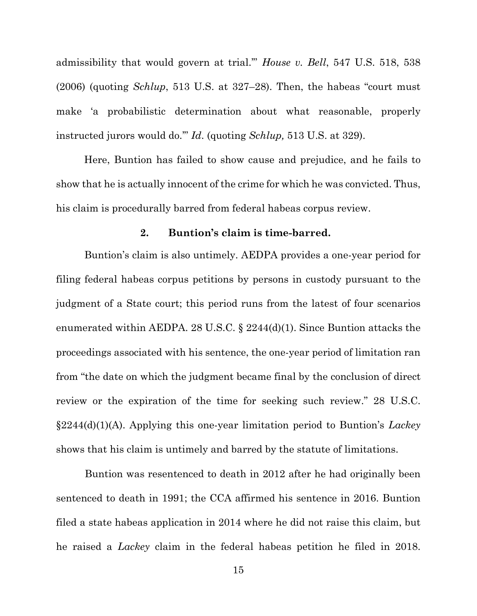admissibility that would govern at trial.'" *House v. Bell*, 547 U.S. 518, 538 (2006) (quoting *Schlup*, 513 U.S. at 327–28). Then, the habeas "court must make 'a probabilistic determination about what reasonable, properly instructed jurors would do.'" *Id*. (quoting *Schlup,* 513 U.S. at 329).

Here, Buntion has failed to show cause and prejudice, and he fails to show that he is actually innocent of the crime for which he was convicted. Thus, his claim is procedurally barred from federal habeas corpus review.

#### **2. Buntion's claim is time-barred.**

 Buntion's claim is also untimely. AEDPA provides a one-year period for filing federal habeas corpus petitions by persons in custody pursuant to the judgment of a State court; this period runs from the latest of four scenarios enumerated within AEDPA. 28 U.S.C. § 2244(d)(1). Since Buntion attacks the proceedings associated with his sentence, the one-year period of limitation ran from "the date on which the judgment became final by the conclusion of direct review or the expiration of the time for seeking such review." 28 U.S.C. §2244(d)(1)(A). Applying this one-year limitation period to Buntion's *Lackey* shows that his claim is untimely and barred by the statute of limitations.

 Buntion was resentenced to death in 2012 after he had originally been sentenced to death in 1991; the CCA affirmed his sentence in 2016. Buntion filed a state habeas application in 2014 where he did not raise this claim, but he raised a *Lackey* claim in the federal habeas petition he filed in 2018.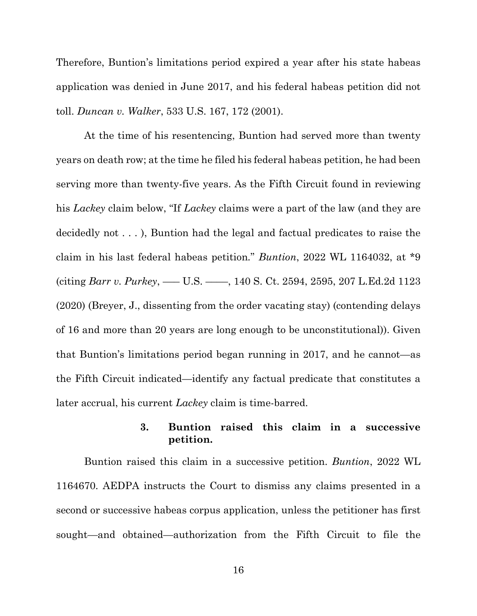Therefore, Buntion's limitations period expired a year after his state habeas application was denied in June 2017, and his federal habeas petition did not toll. *Duncan v. Walker*, 533 U.S. 167, 172 (2001).

At the time of his resentencing, Buntion had served more than twenty years on death row; at the time he filed his federal habeas petition, he had been serving more than twenty-five years. As the Fifth Circuit found in reviewing his *Lackey* claim below, "If *Lackey* claims were a part of the law (and they are decidedly not . . . ), Buntion had the legal and factual predicates to raise the claim in his last federal habeas petition*.*" *Buntion*, 2022 WL 1164032, at \*9 (citing *Barr v. Purkey*, ––– U.S. ––––, 140 S. Ct. 2594, 2595, 207 L.Ed.2d 1123 (2020) (Breyer, J., dissenting from the order vacating stay) (contending delays of 16 and more than 20 years are long enough to be unconstitutional)). Given that Buntion's limitations period began running in 2017, and he cannot—as the Fifth Circuit indicated—identify any factual predicate that constitutes a later accrual, his current *Lackey* claim is time-barred.

### **3. Buntion raised this claim in a successive petition.**

Buntion raised this claim in a successive petition. *Buntion*, 2022 WL 1164670. AEDPA instructs the Court to dismiss any claims presented in a second or successive habeas corpus application, unless the petitioner has first sought—and obtained—authorization from the Fifth Circuit to file the

16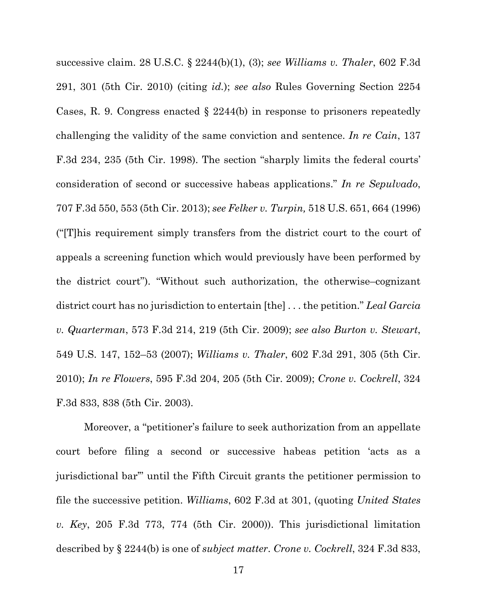successive claim. 28 U.S.C. § 2244(b)(1), (3); *see Williams v. Thaler*, 602 F.3d 291, 301 (5th Cir. 2010) (citing *id.*); *see also* Rules Governing Section 2254 Cases, R. 9. Congress enacted § 2244(b) in response to prisoners repeatedly challenging the validity of the same conviction and sentence. *In re Cain*, 137 F.3d 234, 235 (5th Cir. 1998). The section "sharply limits the federal courts' consideration of second or successive habeas applications." *In re Sepulvado*, 707 F.3d 550, 553 (5th Cir. 2013); *see Felker v. Turpin,* 518 U.S. 651, 664 (1996) ("[T]his requirement simply transfers from the district court to the court of appeals a screening function which would previously have been performed by the district court"). "Without such authorization, the otherwise–cognizant district court has no jurisdiction to entertain [the] . . . the petition." *Leal Garcia v. Quarterman*, 573 F.3d 214, 219 (5th Cir. 2009); *see also Burton v. Stewart*, 549 U.S. 147, 152–53 (2007); *Williams v. Thaler*, 602 F.3d 291, 305 (5th Cir. 2010); *In re Flowers*, 595 F.3d 204, 205 (5th Cir. 2009); *Crone v. Cockrell*, 324 F.3d 833, 838 (5th Cir. 2003).

 Moreover, a "petitioner's failure to seek authorization from an appellate court before filing a second or successive habeas petition 'acts as a jurisdictional bar'" until the Fifth Circuit grants the petitioner permission to file the successive petition. *Williams*, 602 F.3d at 301, (quoting *United States v. Key*, 205 F.3d 773, 774 (5th Cir. 2000)). This jurisdictional limitation described by § 2244(b) is one of *subject matter*. *Crone v. Cockrell*, 324 F.3d 833,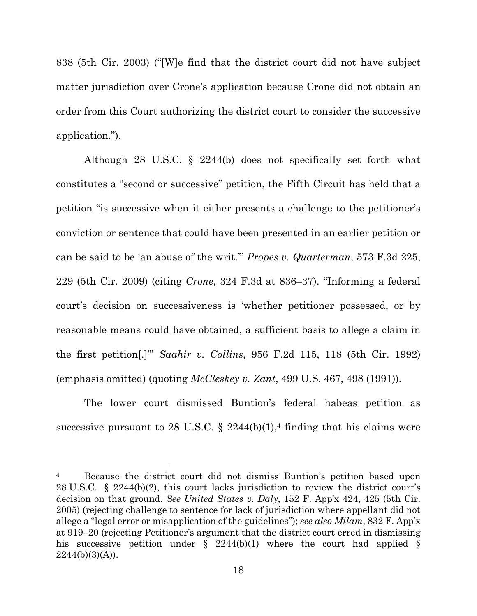838 (5th Cir. 2003) ("[W]e find that the district court did not have subject matter jurisdiction over Crone's application because Crone did not obtain an order from this Court authorizing the district court to consider the successive application.").

 Although 28 U.S.C. § 2244(b) does not specifically set forth what constitutes a "second or successive" petition, the Fifth Circuit has held that a petition "is successive when it either presents a challenge to the petitioner's conviction or sentence that could have been presented in an earlier petition or can be said to be 'an abuse of the writ.'" *Propes v. Quarterman*, 573 F.3d 225, 229 (5th Cir. 2009) (citing *Crone*, 324 F.3d at 836–37). "Informing a federal court's decision on successiveness is 'whether petitioner possessed, or by reasonable means could have obtained, a sufficient basis to allege a claim in the first petition[.]'" *Saahir v. Collins,* 956 F.2d 115, 118 (5th Cir. 1992) (emphasis omitted) (quoting *McCleskey v. Zant*, 499 U.S. 467, 498 (1991)).

 The lower court dismissed Buntion's federal habeas petition as successive pursuant to 28 U.S.C.  $\S$  2244(b)(1),<sup>4</sup> finding that his claims were

Because the district court did not dismiss Buntion's petition based upon 28 U.S.C. § 2244(b)(2), this court lacks jurisdiction to review the district court's decision on that ground. *See United States v. Daly*, 152 F. App'x 424, 425 (5th Cir. 2005) (rejecting challenge to sentence for lack of jurisdiction where appellant did not allege a "legal error or misapplication of the guidelines"); *see also Milam*, 832 F. App'x at 919–20 (rejecting Petitioner's argument that the district court erred in dismissing his successive petition under  $\S$  2244(b)(1) where the court had applied  $\S$  $2244(b)(3)(A)$ ).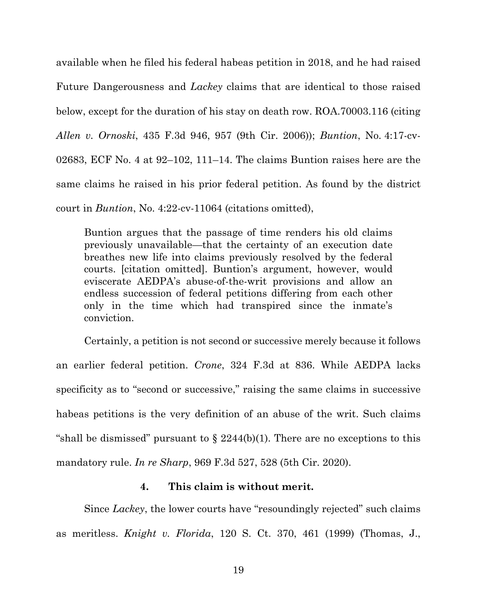available when he filed his federal habeas petition in 2018, and he had raised Future Dangerousness and *Lackey* claims that are identical to those raised below, except for the duration of his stay on death row. ROA.70003.116 (citing *Allen v. Ornoski*, 435 F.3d 946, 957 (9th Cir. 2006)); *Buntion*, No. 4:17-cv-02683, ECF No. 4 at 92–102, 111–14. The claims Buntion raises here are the same claims he raised in his prior federal petition. As found by the district court in *Buntion*, No. 4:22-cv-11064 (citations omitted),

Buntion argues that the passage of time renders his old claims previously unavailable—that the certainty of an execution date breathes new life into claims previously resolved by the federal courts. [citation omitted]. Buntion's argument, however, would eviscerate AEDPA's abuse-of-the-writ provisions and allow an endless succession of federal petitions differing from each other only in the time which had transpired since the inmate's conviction.

 Certainly, a petition is not second or successive merely because it follows an earlier federal petition. *Crone*, 324 F.3d at 836. While AEDPA lacks specificity as to "second or successive," raising the same claims in successive habeas petitions is the very definition of an abuse of the writ. Such claims "shall be dismissed" pursuant to  $\S$  2244(b)(1). There are no exceptions to this mandatory rule. *In re Sharp*, 969 F.3d 527, 528 (5th Cir. 2020).

### **4. This claim is without merit.**

 Since *Lackey*, the lower courts have "resoundingly rejected" such claims as meritless. *Knight v. Florida*, 120 S. Ct. 370, 461 (1999) (Thomas, J.,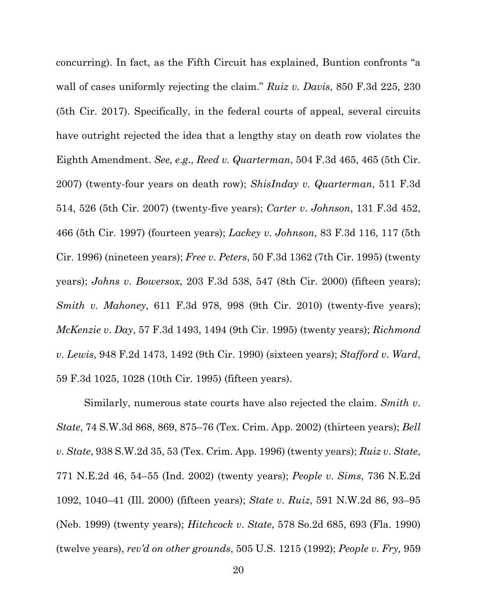concurring). In fact, as the Fifth Circuit has explained, Buntion confronts "a wall of cases uniformly rejecting the claim." *Ruiz v. Davis*, 850 F.3d 225, 230 (5th Cir. 2017). Specifically, in the federal courts of appeal, several circuits have outright rejected the idea that a lengthy stay on death row violates the Eighth Amendment. *See, e*.*g*., *Reed v. Quarterman*, 504 F.3d 465, 465 (5th Cir. 2007) (twenty-four years on death row); *ShisInday v. Quarterman*, 511 F.3d 514, 526 (5th Cir. 2007) (twenty-five years); *Carter v*. *Johnson*, 131 F.3d 452, 466 (5th Cir. 1997) (fourteen years); *Lackey v*. *Johnson*, 83 F.3d 116, 117 (5th Cir. 1996) (nineteen years); *Free v*. *Peters*, 50 F.3d 1362 (7th Cir. 1995) (twenty years); *Johns v*. *Bowersox*, 203 F.3d 538, 547 (8th Cir. 2000) (fifteen years); *Smith v. Mahoney*, 611 F.3d 978, 998 (9th Cir. 2010) (twenty-five years); *McKenzie v*. *Day*, 57 F.3d 1493, 1494 (9th Cir. 1995) (twenty years); *Richmond v*. *Lewis*, 948 F.2d 1473, 1492 (9th Cir. 1990) (sixteen years); *Stafford v*. *Ward*, 59 F.3d 1025, 1028 (10th Cir. 1995) (fifteen years).

 Similarly, numerous state courts have also rejected the claim. *Smith v*. *State*, 74 S.W.3d 868, 869, 875–76 (Tex. Crim. App. 2002) (thirteen years); *Bell v*. *State*, 938 S.W.2d 35, 53 (Tex. Crim. App. 1996) (twenty years); *Ruiz v*. *State*, 771 N.E.2d 46, 54–55 (Ind. 2002) (twenty years); *People v*. *Sims*, 736 N.E.2d 1092, 1040–41 (Ill. 2000) (fifteen years); *State v*. *Ruiz*, 591 N.W.2d 86, 93–95 (Neb. 1999) (twenty years); *Hitchcock v*. *State*, 578 So.2d 685, 693 (Fla. 1990) (twelve years), *rev'd on other grounds*, 505 U.S. 1215 (1992); *People v*. *Fry,* 959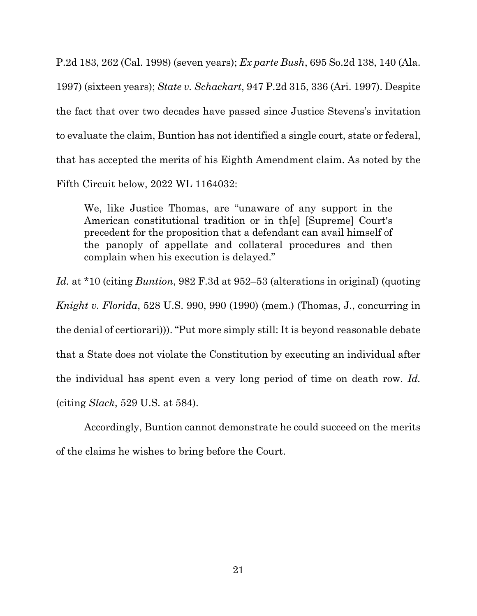P.2d 183, 262 (Cal. 1998) (seven years); *Ex parte Bush*, 695 So.2d 138, 140 (Ala. 1997) (sixteen years); *State v. Schackart*, 947 P.2d 315, 336 (Ari. 1997). Despite the fact that over two decades have passed since Justice Stevens's invitation to evaluate the claim, Buntion has not identified a single court, state or federal, that has accepted the merits of his Eighth Amendment claim. As noted by the Fifth Circuit below, 2022 WL 1164032:

We, like Justice Thomas, are "unaware of any support in the American constitutional tradition or in th[e] [Supreme] Court's precedent for the proposition that a defendant can avail himself of the panoply of appellate and collateral procedures and then complain when his execution is delayed."

*Id.* at \*10 (citing *Buntion*, 982 F.3d at 952–53 (alterations in original) (quoting *Knight v. Florida*, 528 U.S. 990, 990 (1990) (mem.) (Thomas, J., concurring in the denial of certiorari))). "Put more simply still: It is beyond reasonable debate that a State does not violate the Constitution by executing an individual after the individual has spent even a very long period of time on death row. *Id.*  (citing *Slack*, 529 U.S. at 584).

 Accordingly, Buntion cannot demonstrate he could succeed on the merits of the claims he wishes to bring before the Court.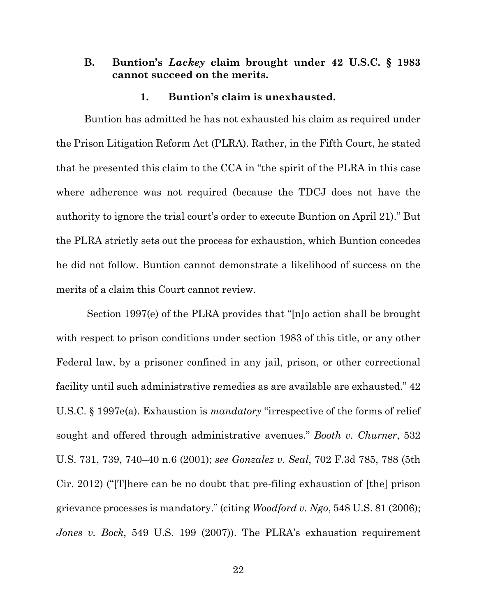### **B. Buntion's** *Lackey* **claim brought under 42 U.S.C. § 1983 cannot succeed on the merits.**

#### **1. Buntion's claim is unexhausted.**

 Buntion has admitted he has not exhausted his claim as required under the Prison Litigation Reform Act (PLRA). Rather, in the Fifth Court, he stated that he presented this claim to the CCA in "the spirit of the PLRA in this case where adherence was not required (because the TDCJ does not have the authority to ignore the trial court's order to execute Buntion on April 21)." But the PLRA strictly sets out the process for exhaustion, which Buntion concedes he did not follow. Buntion cannot demonstrate a likelihood of success on the merits of a claim this Court cannot review.

 Section 1997(e) of the PLRA provides that "[n]o action shall be brought with respect to prison conditions under section 1983 of this title, or any other Federal law, by a prisoner confined in any jail, prison, or other correctional facility until such administrative remedies as are available are exhausted." 42 U.S.C. § 1997e(a). Exhaustion is *mandatory* "irrespective of the forms of relief sought and offered through administrative avenues." *Booth v. Churner*, 532 U.S. 731, 739, 740–40 n.6 (2001); *see Gonzalez v. Seal*, 702 F.3d 785, 788 (5th Cir. 2012) ("[T]here can be no doubt that pre-filing exhaustion of [the] prison grievance processes is mandatory." (citing *Woodford v. Ngo*, 548 U.S. 81 (2006); *Jones v. Bock*, 549 U.S. 199 (2007)). The PLRA's exhaustion requirement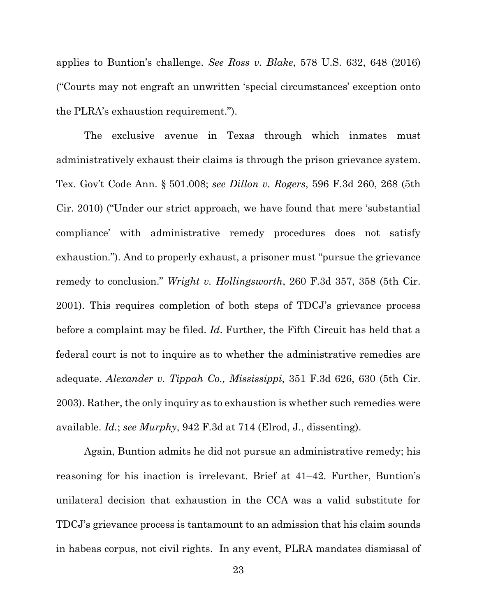applies to Buntion's challenge. *See Ross v. Blake*, 578 U.S. 632, 648 (2016) ("Courts may not engraft an unwritten 'special circumstances' exception onto the PLRA's exhaustion requirement.").

 The exclusive avenue in Texas through which inmates must administratively exhaust their claims is through the prison grievance system. Tex. Gov't Code Ann. § 501.008; *see Dillon v. Rogers*, 596 F.3d 260, 268 (5th Cir. 2010) ("Under our strict approach, we have found that mere 'substantial compliance' with administrative remedy procedures does not satisfy exhaustion."). And to properly exhaust, a prisoner must "pursue the grievance remedy to conclusion." *Wright v. Hollingsworth*, 260 F.3d 357, 358 (5th Cir. 2001). This requires completion of both steps of TDCJ's grievance process before a complaint may be filed. *Id*. Further, the Fifth Circuit has held that a federal court is not to inquire as to whether the administrative remedies are adequate. *Alexander v. Tippah Co., Mississippi*, 351 F.3d 626, 630 (5th Cir. 2003). Rather, the only inquiry as to exhaustion is whether such remedies were available. *Id.*; *see Murphy*, 942 F.3d at 714 (Elrod, J., dissenting).

 Again, Buntion admits he did not pursue an administrative remedy; his reasoning for his inaction is irrelevant. Brief at 41–42. Further, Buntion's unilateral decision that exhaustion in the CCA was a valid substitute for TDCJ's grievance process is tantamount to an admission that his claim sounds in habeas corpus, not civil rights. In any event, PLRA mandates dismissal of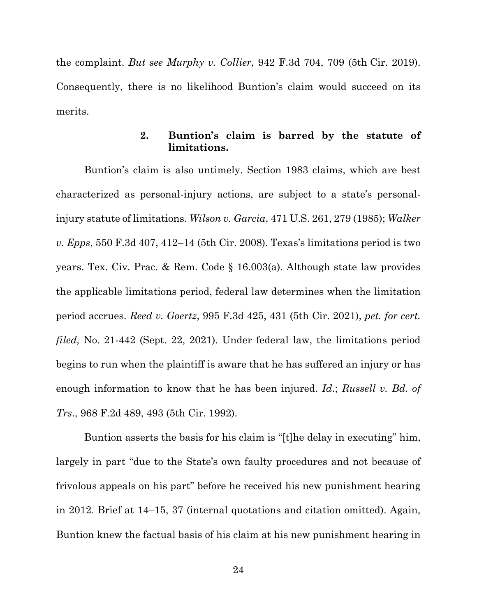the complaint. *But see Murphy v. Collier*, 942 F.3d 704, 709 (5th Cir. 2019). Consequently, there is no likelihood Buntion's claim would succeed on its merits.

## **2. Buntion's claim is barred by the statute of limitations.**

 Buntion's claim is also untimely. Section 1983 claims, which are best characterized as personal-injury actions, are subject to a state's personalinjury statute of limitations. *Wilson v. Garcia*, 471 U.S. 261, 279 (1985); *Walker v. Epps*, 550 F.3d 407, 412–14 (5th Cir. 2008). Texas's limitations period is two years. Tex. Civ. Prac. & Rem. Code § 16.003(a). Although state law provides the applicable limitations period, federal law determines when the limitation period accrues. *Reed v. Goertz*, 995 F.3d 425, 431 (5th Cir. 2021), *pet. for cert. filed,* No. 21-442 (Sept. 22, 2021). Under federal law, the limitations period begins to run when the plaintiff is aware that he has suffered an injury or has enough information to know that he has been injured. *Id*.; *Russell v. Bd. of Trs*., 968 F.2d 489, 493 (5th Cir. 1992).

 Buntion asserts the basis for his claim is "[t]he delay in executing" him, largely in part "due to the State's own faulty procedures and not because of frivolous appeals on his part" before he received his new punishment hearing in 2012. Brief at 14–15, 37 (internal quotations and citation omitted). Again, Buntion knew the factual basis of his claim at his new punishment hearing in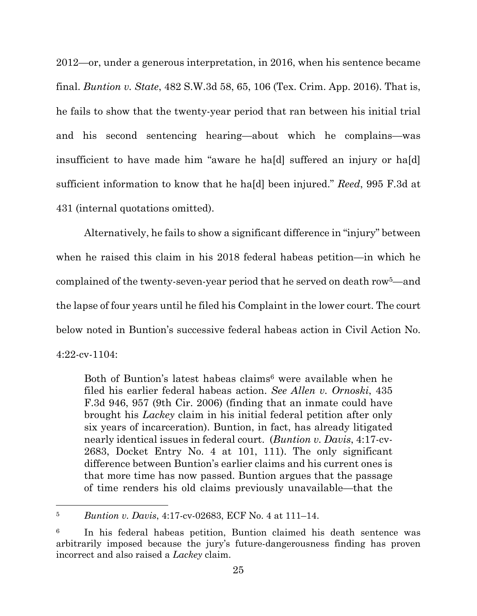2012—or, under a generous interpretation, in 2016, when his sentence became final. *Buntion v. State*, 482 S.W.3d 58, 65, 106 (Tex. Crim. App. 2016). That is, he fails to show that the twenty-year period that ran between his initial trial and his second sentencing hearing—about which he complains—was insufficient to have made him "aware he ha[d] suffered an injury or ha[d] sufficient information to know that he ha[d] been injured." *Reed*, 995 F.3d at 431 (internal quotations omitted).

 Alternatively, he fails to show a significant difference in "injury" between when he raised this claim in his 2018 federal habeas petition—in which he complained of the twenty-seven-year period that he served on death row5—and the lapse of four years until he filed his Complaint in the lower court. The court below noted in Buntion's successive federal habeas action in Civil Action No. 4:22-cv-1104:

Both of Buntion's latest habeas claims<sup>6</sup> were available when he filed his earlier federal habeas action. *See Allen v. Ornoski*, 435 F.3d 946, 957 (9th Cir. 2006) (finding that an inmate could have brought his *Lackey* claim in his initial federal petition after only six years of incarceration). Buntion, in fact, has already litigated nearly identical issues in federal court. (*Buntion v. Davis*, 4:17-cv-2683, Docket Entry No. 4 at 101, 111). The only significant difference between Buntion's earlier claims and his current ones is that more time has now passed. Buntion argues that the passage of time renders his old claims previously unavailable—that the

<sup>5</sup> *Buntion v. Davis*, 4:17-cv-02683, ECF No. 4 at 111–14.

<sup>6</sup> In his federal habeas petition, Buntion claimed his death sentence was arbitrarily imposed because the jury's future-dangerousness finding has proven incorrect and also raised a *Lackey* claim.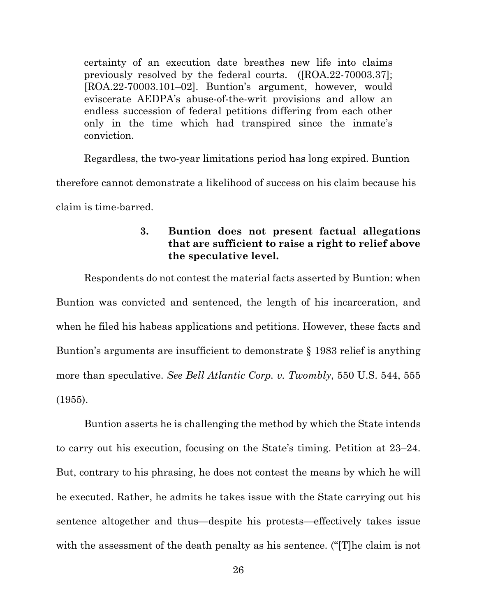certainty of an execution date breathes new life into claims previously resolved by the federal courts. ([ROA.22-70003.37]; [ROA.22-70003.101–02]. Buntion's argument, however, would eviscerate AEDPA's abuse-of-the-writ provisions and allow an endless succession of federal petitions differing from each other only in the time which had transpired since the inmate's conviction.

 Regardless, the two-year limitations period has long expired. Buntion therefore cannot demonstrate a likelihood of success on his claim because his claim is time-barred.

### **3. Buntion does not present factual allegations that are sufficient to raise a right to relief above the speculative level.**

 Respondents do not contest the material facts asserted by Buntion: when Buntion was convicted and sentenced, the length of his incarceration, and when he filed his habeas applications and petitions. However, these facts and Buntion's arguments are insufficient to demonstrate § 1983 relief is anything more than speculative. *See Bell Atlantic Corp. v. Twombly*, 550 U.S. 544, 555 (1955).

 Buntion asserts he is challenging the method by which the State intends to carry out his execution, focusing on the State's timing. Petition at 23–24. But, contrary to his phrasing, he does not contest the means by which he will be executed. Rather, he admits he takes issue with the State carrying out his sentence altogether and thus—despite his protests—effectively takes issue with the assessment of the death penalty as his sentence. ("The claim is not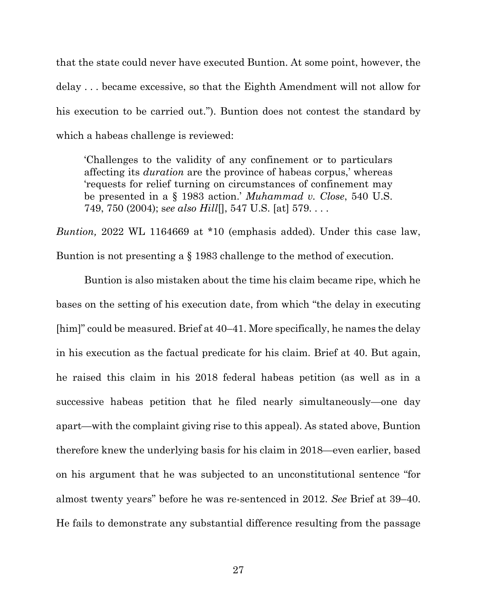that the state could never have executed Buntion. At some point, however, the delay . . . became excessive, so that the Eighth Amendment will not allow for his execution to be carried out."). Buntion does not contest the standard by which a habeas challenge is reviewed:

'Challenges to the validity of any confinement or to particulars affecting its *duration* are the province of habeas corpus,' whereas 'requests for relief turning on circumstances of confinement may be presented in a § 1983 action.' *Muhammad v. Close*, 540 U.S. 749, 750 (2004); s*ee also Hill*[], 547 U.S. [at] 579. . . .

*Buntion,* 2022 WL 1164669 at \*10 (emphasis added). Under this case law, Buntion is not presenting a § 1983 challenge to the method of execution.

 Buntion is also mistaken about the time his claim became ripe, which he bases on the setting of his execution date, from which "the delay in executing [him]" could be measured. Brief at 40–41. More specifically, he names the delay in his execution as the factual predicate for his claim. Brief at 40. But again, he raised this claim in his 2018 federal habeas petition (as well as in a successive habeas petition that he filed nearly simultaneously—one day apart—with the complaint giving rise to this appeal). As stated above, Buntion therefore knew the underlying basis for his claim in 2018—even earlier, based on his argument that he was subjected to an unconstitutional sentence "for almost twenty years" before he was re-sentenced in 2012. *See* Brief at 39–40. He fails to demonstrate any substantial difference resulting from the passage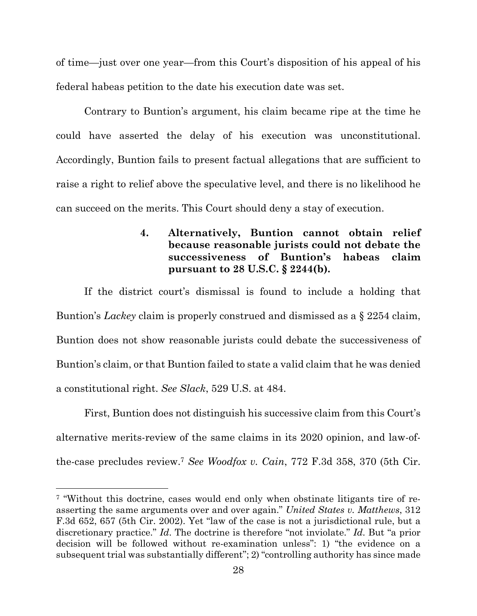of time—just over one year—from this Court's disposition of his appeal of his federal habeas petition to the date his execution date was set.

 Contrary to Buntion's argument, his claim became ripe at the time he could have asserted the delay of his execution was unconstitutional. Accordingly, Buntion fails to present factual allegations that are sufficient to raise a right to relief above the speculative level, and there is no likelihood he can succeed on the merits. This Court should deny a stay of execution.

## **4. Alternatively, Buntion cannot obtain relief because reasonable jurists could not debate the successiveness of Buntion's habeas claim pursuant to 28 U.S.C. § 2244(b).**

 If the district court's dismissal is found to include a holding that Buntion's *Lackey* claim is properly construed and dismissed as a § 2254 claim, Buntion does not show reasonable jurists could debate the successiveness of Buntion's claim, or that Buntion failed to state a valid claim that he was denied a constitutional right. *See Slack*, 529 U.S. at 484.

 First, Buntion does not distinguish his successive claim from this Court's alternative merits-review of the same claims in its 2020 opinion, and law-ofthe-case precludes review.7 *See Woodfox v. Cain*, 772 F.3d 358, 370 (5th Cir.

<sup>7 &</sup>quot;Without this doctrine, cases would end only when obstinate litigants tire of reasserting the same arguments over and over again." *United States v. Matthews*, 312 F.3d 652, 657 (5th Cir. 2002). Yet "law of the case is not a jurisdictional rule, but a discretionary practice." *Id*. The doctrine is therefore "not inviolate." *Id*. But "a prior decision will be followed without re-examination unless": 1) "the evidence on a subsequent trial was substantially different"; 2) "controlling authority has since made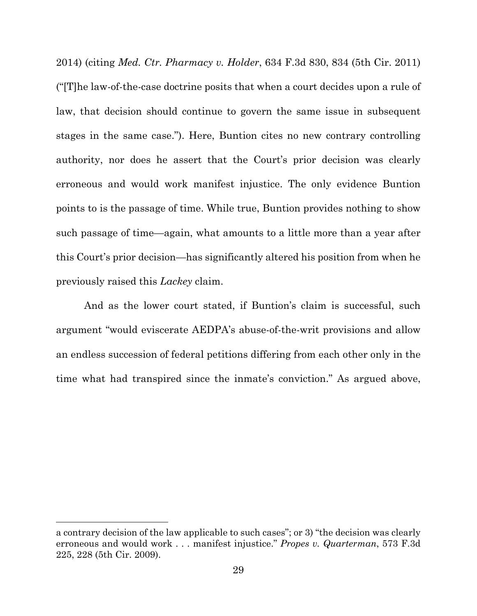2014) (citing *Med. Ctr. Pharmacy v. Holder*, 634 F.3d 830, 834 (5th Cir. 2011) ("[T]he law-of-the-case doctrine posits that when a court decides upon a rule of law, that decision should continue to govern the same issue in subsequent stages in the same case."). Here, Buntion cites no new contrary controlling authority, nor does he assert that the Court's prior decision was clearly erroneous and would work manifest injustice. The only evidence Buntion points to is the passage of time. While true, Buntion provides nothing to show such passage of time—again, what amounts to a little more than a year after this Court's prior decision—has significantly altered his position from when he previously raised this *Lackey* claim.

 And as the lower court stated, if Buntion's claim is successful, such argument "would eviscerate AEDPA's abuse-of-the-writ provisions and allow an endless succession of federal petitions differing from each other only in the time what had transpired since the inmate's conviction." As argued above,

a contrary decision of the law applicable to such cases"; or 3) "the decision was clearly erroneous and would work . . . manifest injustice." *Propes v. Quarterman*, 573 F.3d 225, 228 (5th Cir. 2009).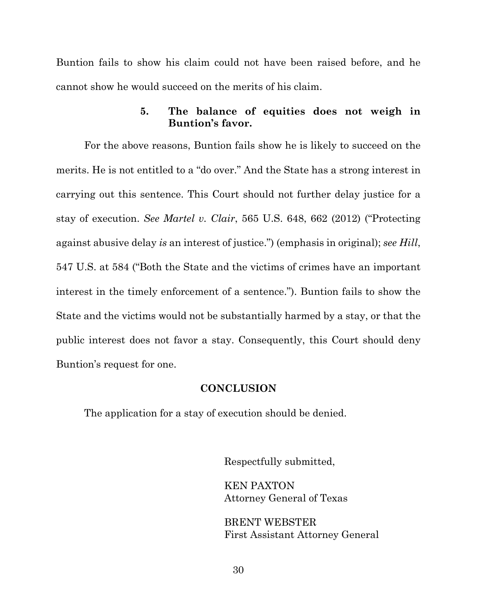Buntion fails to show his claim could not have been raised before, and he cannot show he would succeed on the merits of his claim.

### **5. The balance of equities does not weigh in Buntion's favor.**

 For the above reasons, Buntion fails show he is likely to succeed on the merits. He is not entitled to a "do over." And the State has a strong interest in carrying out this sentence. This Court should not further delay justice for a stay of execution. *See Martel v. Clair*, 565 U.S. 648, 662 (2012) ("Protecting against abusive delay *is* an interest of justice.") (emphasis in original); *see Hill*, 547 U.S. at 584 ("Both the State and the victims of crimes have an important interest in the timely enforcement of a sentence."). Buntion fails to show the State and the victims would not be substantially harmed by a stay, or that the public interest does not favor a stay. Consequently, this Court should deny Buntion's request for one.

### **CONCLUSION**

The application for a stay of execution should be denied.

Respectfully submitted,

KEN PAXTON Attorney General of Texas

BRENT WEBSTER First Assistant Attorney General